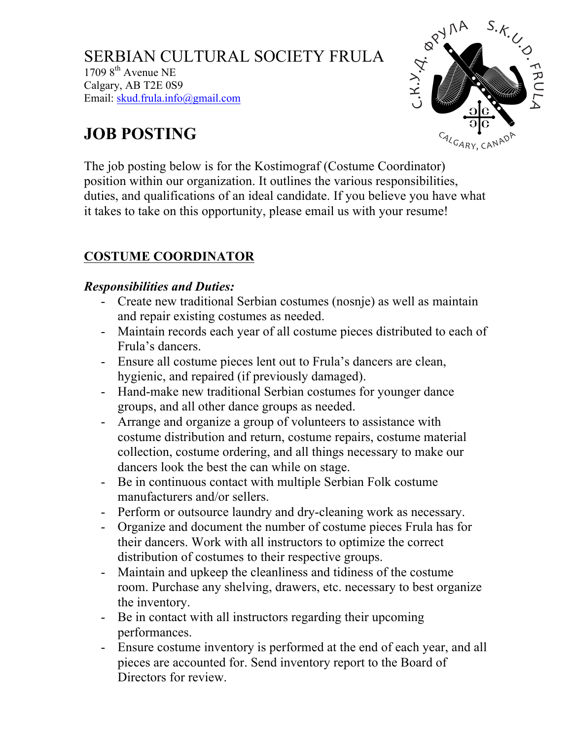SERBIAN CULTURAL SOCIETY FRULA  $17098$ <sup>th</sup> Avenue NE Calgary, AB T2E 0S9 Email: skud.frula.info@gmail.com



# **JOB POSTING**

The job posting below is for the Kostimograf (Costume Coordinator) position within our organization. It outlines the various responsibilities, duties, and qualifications of an ideal candidate. If you believe you have what it takes to take on this opportunity, please email us with your resume!

## **COSTUME COORDINATOR**

#### *Responsibilities and Duties:*

- Create new traditional Serbian costumes (nosnje) as well as maintain and repair existing costumes as needed.
- Maintain records each year of all costume pieces distributed to each of Frula's dancers.
- Ensure all costume pieces lent out to Frula's dancers are clean, hygienic, and repaired (if previously damaged).
- Hand-make new traditional Serbian costumes for younger dance groups, and all other dance groups as needed.
- Arrange and organize a group of volunteers to assistance with costume distribution and return, costume repairs, costume material collection, costume ordering, and all things necessary to make our dancers look the best the can while on stage.
- Be in continuous contact with multiple Serbian Folk costume manufacturers and/or sellers.
- Perform or outsource laundry and dry-cleaning work as necessary.
- Organize and document the number of costume pieces Frula has for their dancers. Work with all instructors to optimize the correct distribution of costumes to their respective groups.
- Maintain and upkeep the cleanliness and tidiness of the costume room. Purchase any shelving, drawers, etc. necessary to best organize the inventory.
- Be in contact with all instructors regarding their upcoming performances.
- Ensure costume inventory is performed at the end of each year, and all pieces are accounted for. Send inventory report to the Board of Directors for review.